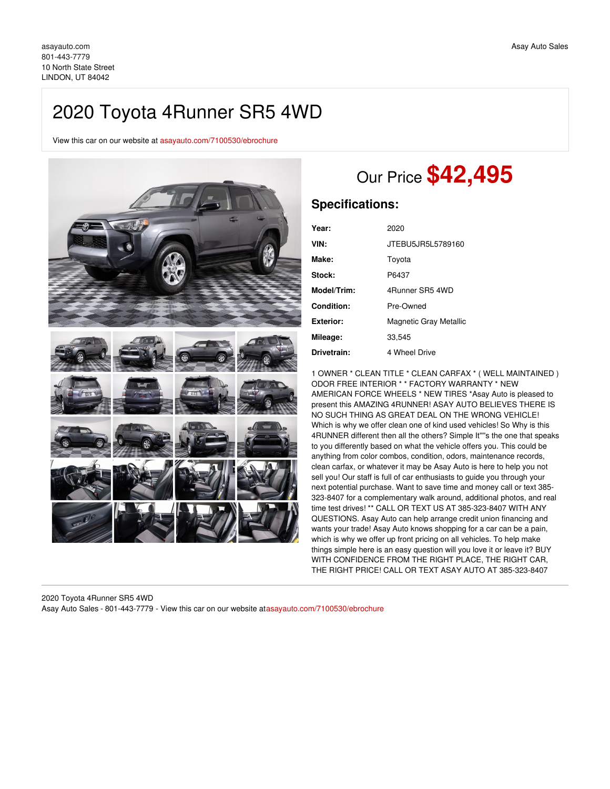## 2020 Toyota 4Runner SR5 4WD

View this car on our website at [asayauto.com/7100530/ebrochure](https://asayauto.com/vehicle/7100530/2020-toyota-4runner-sr5-4wd-lindon-ut-84042/7100530/ebrochure)



## Our Price **\$42,495**

## **Specifications:**

| Year:             | 2020                   |
|-------------------|------------------------|
| VIN:              | JTEBU5JR5L5789160      |
| Make:             | Toyota                 |
| <b>Stock:</b>     | P6437                  |
| Model/Trim:       | 4Runner SR5 4WD        |
| <b>Condition:</b> | Pre-Owned              |
| Exterior:         | Magnetic Gray Metallic |
| Mileage:          | 33,545                 |
| Drivetrain:       | 4 Wheel Drive          |

1 OWNER \* CLEAN TITLE \* CLEAN CARFAX \* ( WELL MAINTAINED ) ODOR FREE INTERIOR \* \* FACTORY WARRANTY \* NEW AMERICAN FORCE WHEELS \* NEW TIRES \*Asay Auto is pleased to present this AMAZING 4RUNNER! ASAY AUTO BELIEVES THERE IS NO SUCH THING AS GREAT DEAL ON THE WRONG VEHICLE! Which is why we offer clean one of kind used vehicles! So Why is this 4RUNNER different then all the others? Simple It''''s the one that speaks to you differently based on what the vehicle offers you. This could be anything from color combos, condition, odors, maintenance records, clean carfax, or whatever it may be Asay Auto is here to help you not sell you! Our staff is full of car enthusiasts to guide you through your next potential purchase. Want to save time and money call or text 385- 323-8407 for a complementary walk around, additional photos, and real time test drives! \*\* CALL OR TEXT US AT 385-323-8407 WITH ANY QUESTIONS. Asay Auto can help arrange credit union financing and wants your trade! Asay Auto knows shopping for a car can be a pain, which is why we offer up front pricing on all vehicles. To help make things simple here is an easy question will you love it or leave it? BUY WITH CONFIDENCE FROM THE RIGHT PLACE, THE RIGHT CAR, THE RIGHT PRICE! CALL OR TEXT ASAY AUTO AT 385-323-8407

2020 Toyota 4Runner SR5 4WD Asay Auto Sales - 801-443-7779 - View this car on our website at[asayauto.com/7100530/ebrochure](https://asayauto.com/vehicle/7100530/2020-toyota-4runner-sr5-4wd-lindon-ut-84042/7100530/ebrochure)